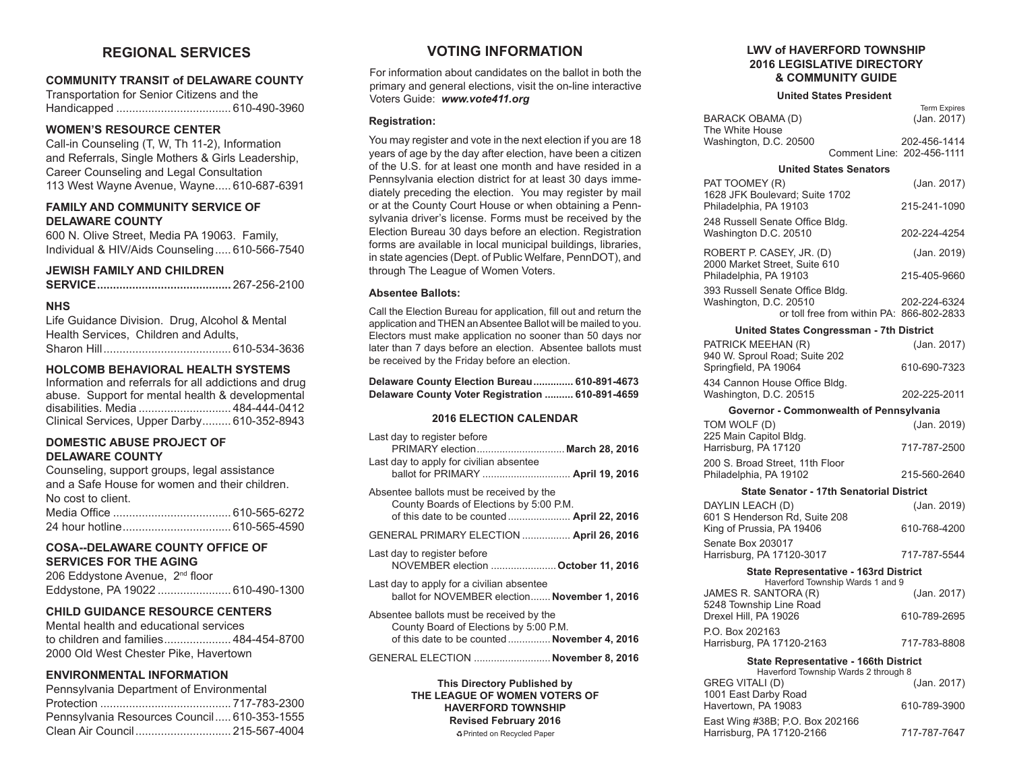# **REGIONAL SERVICES**

### **COMMUNITY TRANSIT of DELAWARE COUNTY**

Transportation for Senior Citizens and the Handicapped .................................... 610-490-3960

# **WOMEN'S RESOURCE CENTER**

Call-in Counseling (T, W, Th 11-2), Information and Referrals, Single Mothers & Girls Leadership, Career Counseling and Legal Consultation 113 West Wayne Avenue, Wayne..... 610-687-6391

# **FAMILY AND COMMUNITY SERVICE OF DELAWARE COUNTY**

600 N. Olive Street, Media PA 19063. Family, Individual & HIV/Aids Counseling..... 610-566-7540

# **JEWISH FAMILY AND CHILDREN**

|--|--|

# **NHS**

Life Guidance Division. Drug, Alcohol & Mental Health Services, Children and Adults, Sharon Hill........................................ 610-534-3636

# **HOLCOMB BEHAVIORAL HEALTH SYSTEMS**

Information and referrals for all addictions and drug abuse. Support for mental health & developmental disabilities. Media ............................. 484-444-0412 Clinical Services, Upper Darby......... 610-352-8943

# **DOMESTIC ABUSE PROJECT OF DELAWARE COUNTY**

Counseling, support groups, legal assistance and a Safe House for women and their children. No cost to client. Media Office ..................................... 610-565-6272 24 hour hotline.................................. 610-565-4590

# **COSA--DELAWARE COUNTY OFFICE OF SERVICES FOR THE AGING**

| 206 Eddystone Avenue, 2 <sup>nd</sup> floor |                                   |
|---------------------------------------------|-----------------------------------|
|                                             | Eddystone, PA 19022  610-490-1300 |

# **CHILD GUIDANCE RESOURCE CENTERS**

Mental health and educational services to children and families..................... 484-454-8700 2000 Old West Chester Pike, Havertown

# **ENVIRONMENTAL INFORMATION**

| Pennsylvania Department of Environmental    |  |
|---------------------------------------------|--|
|                                             |  |
| Pennsylvania Resources Council 610-353-1555 |  |
|                                             |  |

# **VOTING INFORMATION**

For information about candidates on the ballot in both the primary and general elections, visit the on-line interactive Voters Guide: *www.vote411.org*

### **Registration:**

You may register and vote in the next election if you are 18 years of age by the day after election, have been a citizen of the U.S. for at least one month and have resided in a Pennsylvania election district for at least 30 days immediately preceding the election. You may register by mail or at the County Court House or when obtaining a Pennsylvania driver's license. Forms must be received by the Election Bureau 30 days before an election. Registration forms are available in local municipal buildings, libraries, in state agencies (Dept. of Public Welfare, PennDOT), and through The League of Women Voters.

### **Absentee Ballots:**

Call the Election Bureau for application, fill out and return the application and THEN an Absentee Ballot will be mailed to you. Electors must make application no sooner than 50 days nor later than 7 days before an election. Absentee ballots must be received by the Friday before an election.

| Delaware County Election Bureau 610-891-4673     |  |
|--------------------------------------------------|--|
| Delaware County Voter Registration  610-891-4659 |  |

## **2016 ELECTION CALENDAR**

| Last day to register before<br>PRIMARY election March 28, 2016                                                                     |  |
|------------------------------------------------------------------------------------------------------------------------------------|--|
| Last day to apply for civilian absentee<br>ballot for PRIMARY  April 19, 2016                                                      |  |
| Absentee ballots must be received by the<br>County Boards of Elections by 5:00 P.M.                                                |  |
| GENERAL PRIMARY ELECTION  April 26, 2016                                                                                           |  |
| Last day to register before<br>NOVEMBER election  October 11, 2016                                                                 |  |
| Last day to apply for a civilian absentee<br>ballot for NOVEMBER election November 1, 2016                                         |  |
| Absentee ballots must be received by the<br>County Board of Elections by 5:00 P.M.<br>of this date to be counted  November 4, 2016 |  |
| GENERAL ELECTION  November 8, 2016                                                                                                 |  |
|                                                                                                                                    |  |

**This Directory Published by THE LEAGUE OF WOMEN VOTERS OF HAVERFORD TOWNSHIP Revised February 2016** ÁPrinted on Recycled Paper

### **LWV of HAVERFORD TOWNSHIP 2016 LEGISLATIVE DIRECTORY & COMMUNITY GUIDE**

#### **United States President**

|                        | <b>Term Expires</b>        |
|------------------------|----------------------------|
| BARACK OBAMA (D)       | (Jan. 2017)                |
| The White House        |                            |
| Washington, D.C. 20500 | 202-456-1414               |
|                        | Comment Line: 202-456-1111 |

#### **United States Senators**

| PAT TOOMEY (R)                                                                                         | (Jan. 2017)  |  |
|--------------------------------------------------------------------------------------------------------|--------------|--|
| 1628 JFK Boulevard; Suite 1702<br>Philadelphia, PA 19103                                               | 215-241-1090 |  |
| 248 Russell Senate Office Bldg.<br>Washington D.C. 20510                                               | 202-224-4254 |  |
| ROBERT P. CASEY, JR. (D)                                                                               | (Jan. 2019)  |  |
| 2000 Market Street, Suite 610<br>Philadelphia, PA 19103                                                | 215-405-9660 |  |
| 393 Russell Senate Office Bldg.<br>Washington, D.C. 20510<br>or toll free from within PA: 866-802-2833 | 202-224-6324 |  |
| United States Congressman - 7th District                                                               |              |  |
| PATRICK MEEHAN (R)<br>940 W. Sproul Road; Suite 202                                                    | (Jan. 2017)  |  |
| Springfield, PA 19064                                                                                  | 610-690-7323 |  |
| 434 Cannon House Office Bldg.<br>Washington, D.C. 20515                                                | 202-225-2011 |  |
| Governor - Commonwealth of Pennsylvania                                                                |              |  |

| TOM WOLF (D)                                              | (Jan. 2019)   |
|-----------------------------------------------------------|---------------|
| 225 Main Capitol Bldg.<br>Harrisburg, PA 17120            | 717-787-2500  |
| 200 S. Broad Street, 11th Floor<br>Philadelphia, PA 19102 | 215-560-2640  |
| <b>State Senator - 17th Senatorial District</b>           |               |
| DAYLIN LEACH (D)                                          | (Jan. 2019)   |
| 601 S Henderson Rd, Suite 208                             |               |
|                                                           | $0.10 - 0.00$ |

| King of Prussia, PA 19406 | 610-768-4200 |
|---------------------------|--------------|
| Senate Box 203017         |              |
| Harrisburg, PA 17120-3017 | 717-787-5544 |

#### **State Representative - 163rd District**

| Haverford Township Wards 1 and 9 |              |
|----------------------------------|--------------|
| JAMES R. SANTORA (R)             | (Jan. 2017)  |
| 5248 Township Line Road          |              |
| Drexel Hill. PA 19026            | 610-789-2695 |
| P.O. Box 202163                  |              |
| Harrisburg, PA 17120-2163        | 717-783-8808 |

#### **State Representative - 166th District**

| Haverford Township Wards 2 through 8                         |              |  |
|--------------------------------------------------------------|--------------|--|
| <b>GREG VITALI (D)</b>                                       | (Jan. 2017)  |  |
| 1001 East Darby Road<br>Havertown, PA 19083                  | 610-789-3900 |  |
| East Wing #38B; P.O. Box 202166<br>Harrisburg, PA 17120-2166 | 717-787-7647 |  |